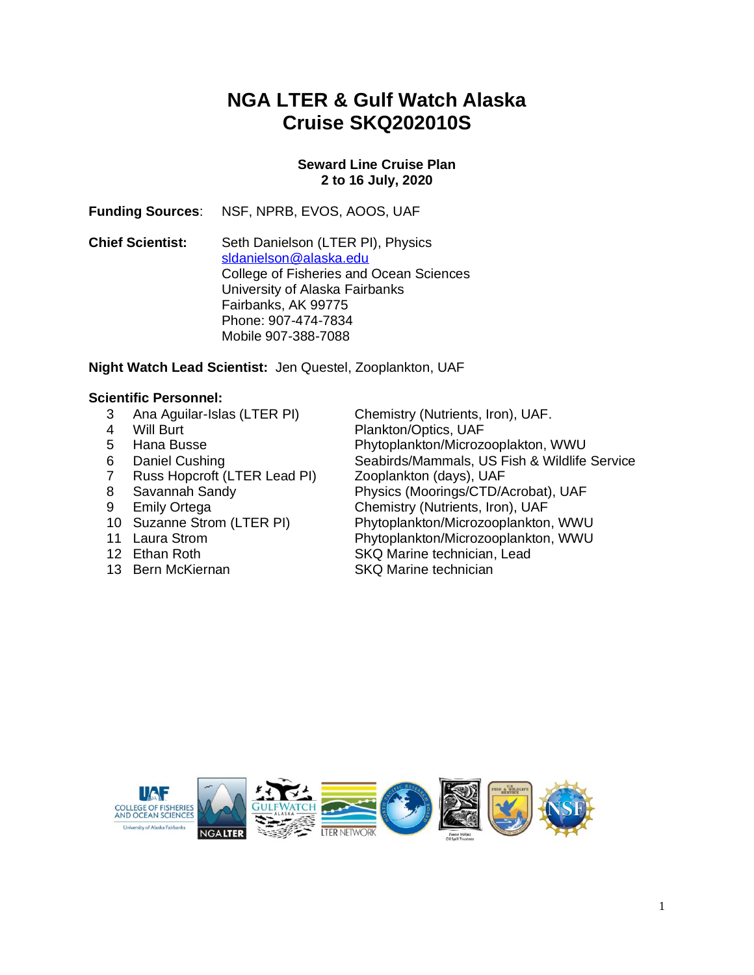# **NGA LTER & Gulf Watch Alaska Cruise SKQ202010S**

#### **Seward Line Cruise Plan 2 to 16 July, 2020**

**Funding Sources**: NSF, NPRB, EVOS, AOOS, UAF

**Chief Scientist:** Seth Danielson (LTER PI), Physics [sldanielson@alaska.edu](mailto:sldanielson@alaska.edu) College of Fisheries and Ocean Sciences University of Alaska Fairbanks Fairbanks, AK 99775 Phone: 907-474-7834 Mobile 907-388-7088

#### **Night Watch Lead Scientist:** Jen Questel, Zooplankton, UAF

- **Scientific Personnel:**<br>3 Ana Aquilar-Islas (LTER PI)
	-
	-
	-
	- 7 Russ Hopcroft (LTER Lead PI) Zooplankton (days), UAF
	-
	-
	-
	-
	-
	-

 3 Ana Aguilar-Islas (LTER PI) Chemistry (Nutrients, Iron), UAF. 4 Will Burt Plankton/Optics, UAF 5 Hana Busse Phytoplankton/Microzooplakton, WWU 6 Daniel Cushing Seabirds/Mammals, US Fish & Wildlife Service 8 Savannah Sandy Physics (Moorings/CTD/Acrobat), UAF 9 Emily Ortega Chemistry (Nutrients, Iron), UAF<br>10 Suzanne Strom (LTER PI) Phytoplankton/Microzooplankton Phytoplankton/Microzooplankton, WWU 11 Laura Strom Phytoplankton/Microzooplankton, WWU 12 Ethan Roth SKQ Marine technician, Lead 13 Bern McKiernan SKQ Marine technician

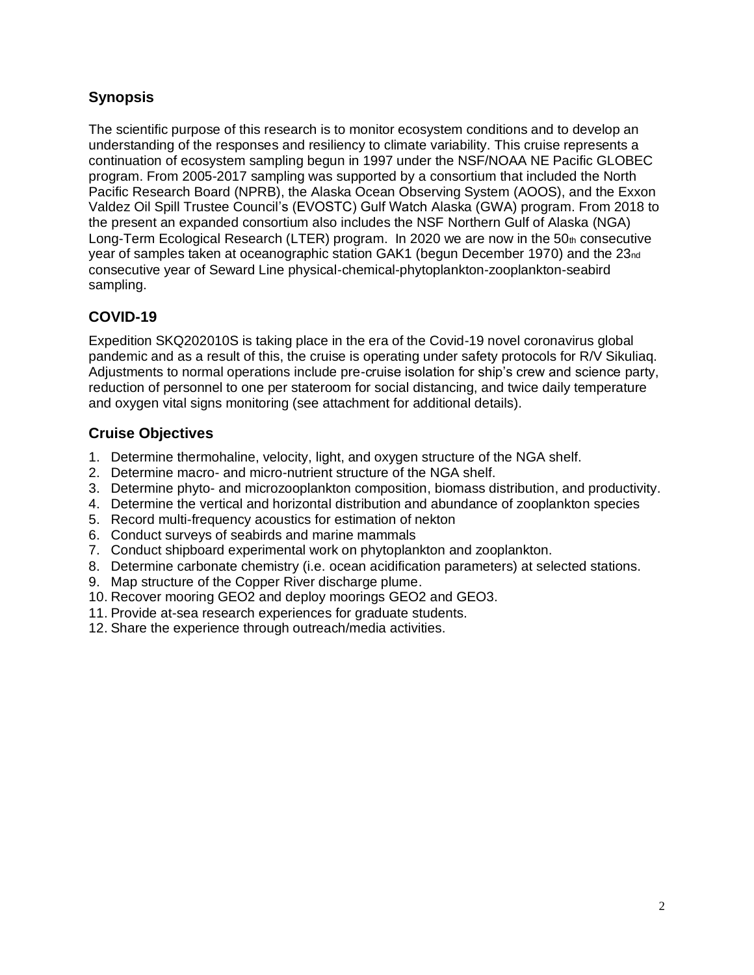# **Synopsis**

The scientific purpose of this research is to monitor ecosystem conditions and to develop an understanding of the responses and resiliency to climate variability. This cruise represents a continuation of ecosystem sampling begun in 1997 under the NSF/NOAA NE Pacific GLOBEC program. From 2005-2017 sampling was supported by a consortium that included the North Pacific Research Board (NPRB), the Alaska Ocean Observing System (AOOS), and the Exxon Valdez Oil Spill Trustee Council's (EVOSTC) Gulf Watch Alaska (GWA) program. From 2018 to the present an expanded consortium also includes the NSF Northern Gulf of Alaska (NGA) Long-Term Ecological Research (LTER) program. In 2020 we are now in the  $50<sub>th</sub>$  consecutive year of samples taken at oceanographic station GAK1 (begun December 1970) and the 23nd consecutive year of Seward Line physical-chemical-phytoplankton-zooplankton-seabird sampling.

# **COVID-19**

Expedition SKQ202010S is taking place in the era of the Covid-19 novel coronavirus global pandemic and as a result of this, the cruise is operating under safety protocols for R/V Sikuliaq. Adjustments to normal operations include pre-cruise isolation for ship's crew and science party, reduction of personnel to one per stateroom for social distancing, and twice daily temperature and oxygen vital signs monitoring (see attachment for additional details).

# **Cruise Objectives**

- 1. Determine thermohaline, velocity, light, and oxygen structure of the NGA shelf.
- 2. Determine macro- and micro-nutrient structure of the NGA shelf.
- 3. Determine phyto- and microzooplankton composition, biomass distribution, and productivity.
- 4. Determine the vertical and horizontal distribution and abundance of zooplankton species
- 5. Record multi-frequency acoustics for estimation of nekton
- 6. Conduct surveys of seabirds and marine mammals
- 7. Conduct shipboard experimental work on phytoplankton and zooplankton.
- 8. Determine carbonate chemistry (i.e. ocean acidification parameters) at selected stations.
- 9. Map structure of the Copper River discharge plume.
- 10. Recover mooring GEO2 and deploy moorings GEO2 and GEO3.
- 11. Provide at-sea research experiences for graduate students.
- 12. Share the experience through outreach/media activities.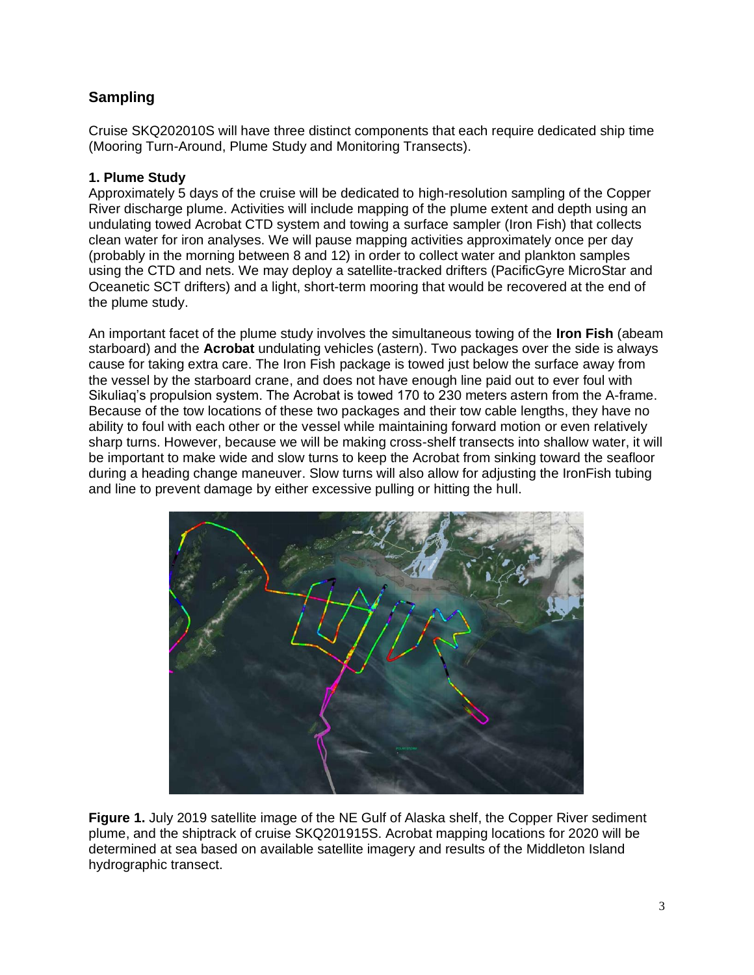# **Sampling**

Cruise SKQ202010S will have three distinct components that each require dedicated ship time (Mooring Turn-Around, Plume Study and Monitoring Transects).

### **1. Plume Study**

Approximately 5 days of the cruise will be dedicated to high-resolution sampling of the Copper River discharge plume. Activities will include mapping of the plume extent and depth using an undulating towed Acrobat CTD system and towing a surface sampler (Iron Fish) that collects clean water for iron analyses. We will pause mapping activities approximately once per day (probably in the morning between 8 and 12) in order to collect water and plankton samples using the CTD and nets. We may deploy a satellite-tracked drifters (PacificGyre MicroStar and Oceanetic SCT drifters) and a light, short-term mooring that would be recovered at the end of the plume study.

An important facet of the plume study involves the simultaneous towing of the **Iron Fish** (abeam starboard) and the **Acrobat** undulating vehicles (astern). Two packages over the side is always cause for taking extra care. The Iron Fish package is towed just below the surface away from the vessel by the starboard crane, and does not have enough line paid out to ever foul with Sikuliaq's propulsion system. The Acrobat is towed 170 to 230 meters astern from the A-frame. Because of the tow locations of these two packages and their tow cable lengths, they have no ability to foul with each other or the vessel while maintaining forward motion or even relatively sharp turns. However, because we will be making cross-shelf transects into shallow water, it will be important to make wide and slow turns to keep the Acrobat from sinking toward the seafloor during a heading change maneuver. Slow turns will also allow for adjusting the IronFish tubing and line to prevent damage by either excessive pulling or hitting the hull.



**Figure 1.** July 2019 satellite image of the NE Gulf of Alaska shelf, the Copper River sediment plume, and the shiptrack of cruise SKQ201915S. Acrobat mapping locations for 2020 will be determined at sea based on available satellite imagery and results of the Middleton Island hydrographic transect.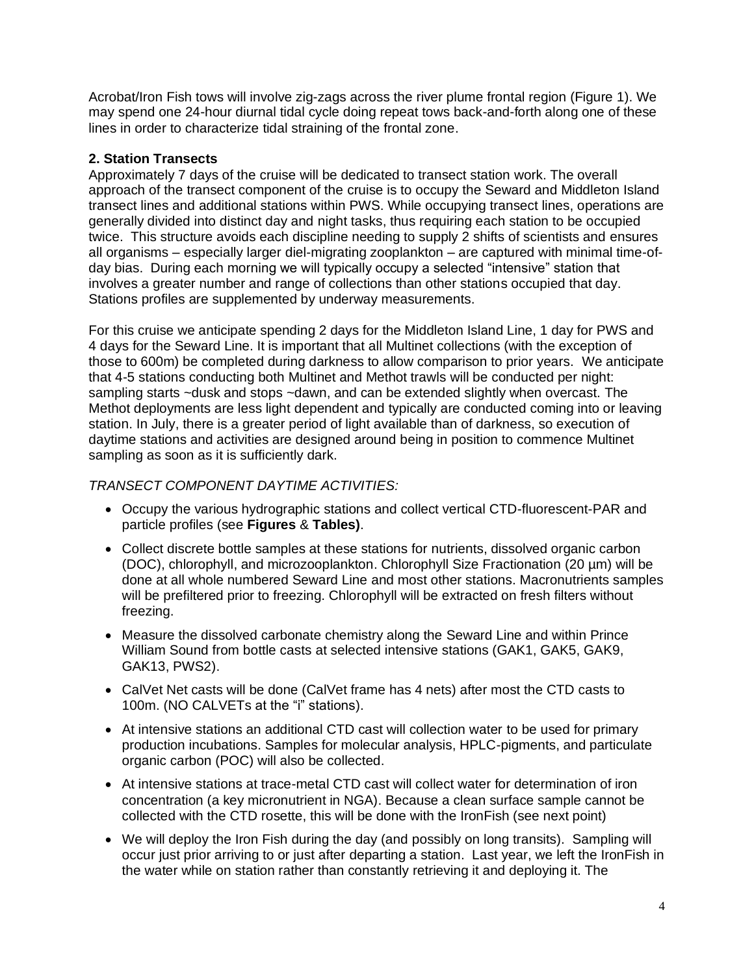Acrobat/Iron Fish tows will involve zig-zags across the river plume frontal region (Figure 1). We may spend one 24-hour diurnal tidal cycle doing repeat tows back-and-forth along one of these lines in order to characterize tidal straining of the frontal zone.

#### **2. Station Transects**

Approximately 7 days of the cruise will be dedicated to transect station work. The overall approach of the transect component of the cruise is to occupy the Seward and Middleton Island transect lines and additional stations within PWS. While occupying transect lines, operations are generally divided into distinct day and night tasks, thus requiring each station to be occupied twice. This structure avoids each discipline needing to supply 2 shifts of scientists and ensures all organisms – especially larger diel-migrating zooplankton – are captured with minimal time-ofday bias. During each morning we will typically occupy a selected "intensive" station that involves a greater number and range of collections than other stations occupied that day. Stations profiles are supplemented by underway measurements.

For this cruise we anticipate spending 2 days for the Middleton Island Line, 1 day for PWS and 4 days for the Seward Line. It is important that all Multinet collections (with the exception of those to 600m) be completed during darkness to allow comparison to prior years. We anticipate that 4-5 stations conducting both Multinet and Methot trawls will be conducted per night: sampling starts ~dusk and stops ~dawn, and can be extended slightly when overcast. The Methot deployments are less light dependent and typically are conducted coming into or leaving station. In July, there is a greater period of light available than of darkness, so execution of daytime stations and activities are designed around being in position to commence Multinet sampling as soon as it is sufficiently dark.

## *TRANSECT COMPONENT DAYTIME ACTIVITIES:*

- Occupy the various hydrographic stations and collect vertical CTD-fluorescent-PAR and particle profiles (see **Figures** & **Tables)**.
- Collect discrete bottle samples at these stations for nutrients, dissolved organic carbon (DOC), chlorophyll, and microzooplankton. Chlorophyll Size Fractionation (20 µm) will be done at all whole numbered Seward Line and most other stations. Macronutrients samples will be prefiltered prior to freezing. Chlorophyll will be extracted on fresh filters without freezing.
- Measure the dissolved carbonate chemistry along the Seward Line and within Prince William Sound from bottle casts at selected intensive stations (GAK1, GAK5, GAK9, GAK13, PWS2).
- CalVet Net casts will be done (CalVet frame has 4 nets) after most the CTD casts to 100m. (NO CALVETs at the "i" stations).
- At intensive stations an additional CTD cast will collection water to be used for primary production incubations. Samples for molecular analysis, HPLC-pigments, and particulate organic carbon (POC) will also be collected.
- At intensive stations at trace-metal CTD cast will collect water for determination of iron concentration (a key micronutrient in NGA). Because a clean surface sample cannot be collected with the CTD rosette, this will be done with the IronFish (see next point)
- We will deploy the Iron Fish during the day (and possibly on long transits). Sampling will occur just prior arriving to or just after departing a station. Last year, we left the IronFish in the water while on station rather than constantly retrieving it and deploying it. The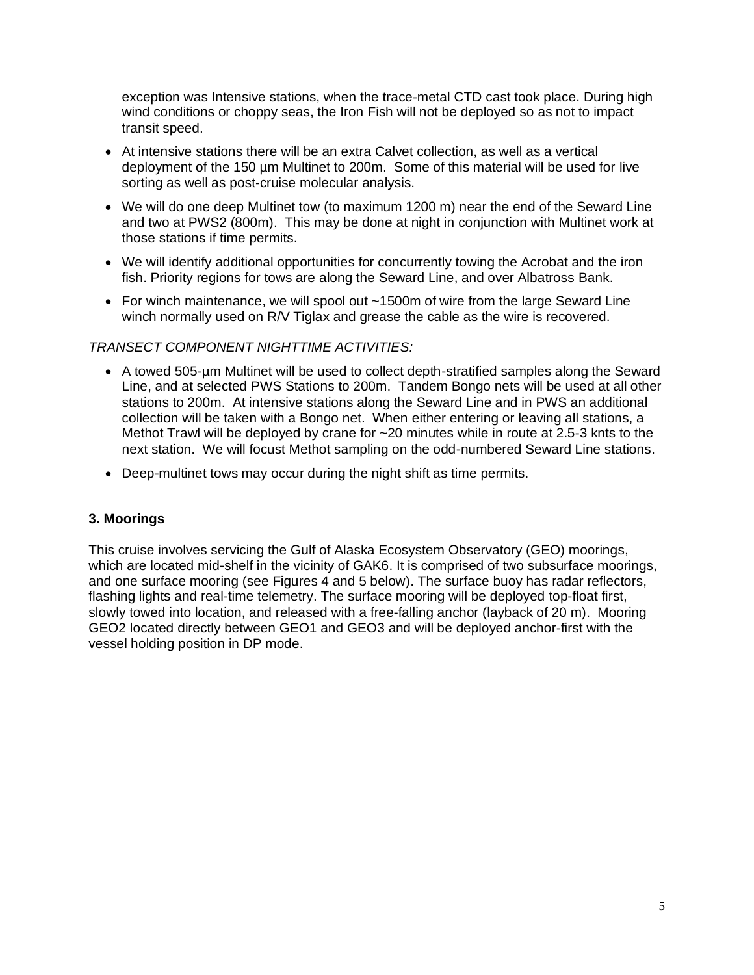exception was Intensive stations, when the trace-metal CTD cast took place. During high wind conditions or choppy seas, the Iron Fish will not be deployed so as not to impact transit speed.

- At intensive stations there will be an extra Calvet collection, as well as a vertical deployment of the 150 µm Multinet to 200m. Some of this material will be used for live sorting as well as post-cruise molecular analysis.
- We will do one deep Multinet tow (to maximum 1200 m) near the end of the Seward Line and two at PWS2 (800m). This may be done at night in conjunction with Multinet work at those stations if time permits.
- We will identify additional opportunities for concurrently towing the Acrobat and the iron fish. Priority regions for tows are along the Seward Line, and over Albatross Bank.
- For winch maintenance, we will spool out ~1500m of wire from the large Seward Line winch normally used on R/V Tiglax and grease the cable as the wire is recovered.

#### *TRANSECT COMPONENT NIGHTTIME ACTIVITIES:*

- A towed 505-µm Multinet will be used to collect depth-stratified samples along the Seward Line, and at selected PWS Stations to 200m. Tandem Bongo nets will be used at all other stations to 200m. At intensive stations along the Seward Line and in PWS an additional collection will be taken with a Bongo net. When either entering or leaving all stations, a Methot Trawl will be deployed by crane for ~20 minutes while in route at 2.5-3 knts to the next station. We will focust Methot sampling on the odd-numbered Seward Line stations.
- Deep-multinet tows may occur during the night shift as time permits.

#### **3. Moorings**

This cruise involves servicing the Gulf of Alaska Ecosystem Observatory (GEO) moorings, which are located mid-shelf in the vicinity of GAK6. It is comprised of two subsurface moorings, and one surface mooring (see Figures 4 and 5 below). The surface buoy has radar reflectors, flashing lights and real-time telemetry. The surface mooring will be deployed top-float first, slowly towed into location, and released with a free-falling anchor (layback of 20 m). Mooring GEO2 located directly between GEO1 and GEO3 and will be deployed anchor-first with the vessel holding position in DP mode.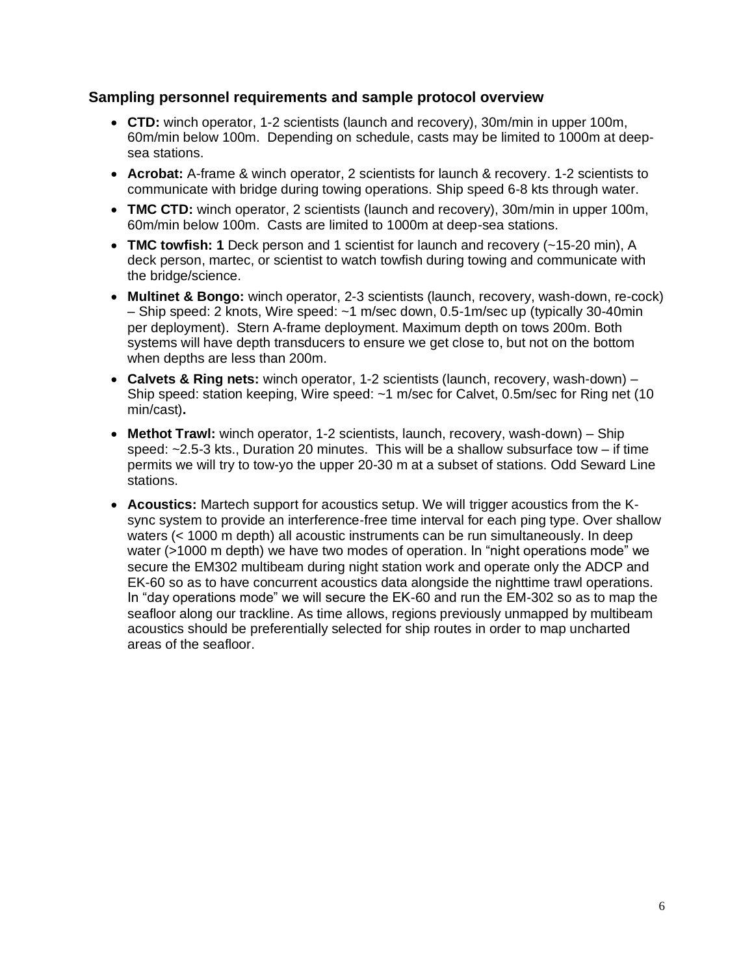#### **Sampling personnel requirements and sample protocol overview**

- **CTD:** winch operator, 1-2 scientists (launch and recovery), 30m/min in upper 100m, 60m/min below 100m. Depending on schedule, casts may be limited to 1000m at deepsea stations.
- **Acrobat:** A-frame & winch operator, 2 scientists for launch & recovery. 1-2 scientists to communicate with bridge during towing operations. Ship speed 6-8 kts through water.
- **TMC CTD:** winch operator, 2 scientists (launch and recovery), 30m/min in upper 100m, 60m/min below 100m. Casts are limited to 1000m at deep-sea stations.
- **TMC towfish: 1** Deck person and 1 scientist for launch and recovery (~15-20 min), A deck person, martec, or scientist to watch towfish during towing and communicate with the bridge/science.
- **Multinet & Bongo:** winch operator, 2-3 scientists (launch, recovery, wash-down, re-cock) – Ship speed: 2 knots, Wire speed: ~1 m/sec down, 0.5-1m/sec up (typically 30-40min per deployment). Stern A-frame deployment. Maximum depth on tows 200m. Both systems will have depth transducers to ensure we get close to, but not on the bottom when depths are less than 200m.
- **Calvets & Ring nets:** winch operator, 1-2 scientists (launch, recovery, wash-down) Ship speed: station keeping, Wire speed: ~1 m/sec for Calvet, 0.5m/sec for Ring net (10 min/cast)**.**
- **Methot Trawl:** winch operator, 1-2 scientists, launch, recovery, wash-down) Ship speed: ~2.5-3 kts., Duration 20 minutes. This will be a shallow subsurface tow – if time permits we will try to tow-yo the upper 20-30 m at a subset of stations. Odd Seward Line stations.
- **Acoustics:** Martech support for acoustics setup. We will trigger acoustics from the Ksync system to provide an interference-free time interval for each ping type. Over shallow waters (< 1000 m depth) all acoustic instruments can be run simultaneously. In deep water (>1000 m depth) we have two modes of operation. In "night operations mode" we secure the EM302 multibeam during night station work and operate only the ADCP and EK-60 so as to have concurrent acoustics data alongside the nighttime trawl operations. In "day operations mode" we will secure the EK-60 and run the EM-302 so as to map the seafloor along our trackline. As time allows, regions previously unmapped by multibeam acoustics should be preferentially selected for ship routes in order to map uncharted areas of the seafloor.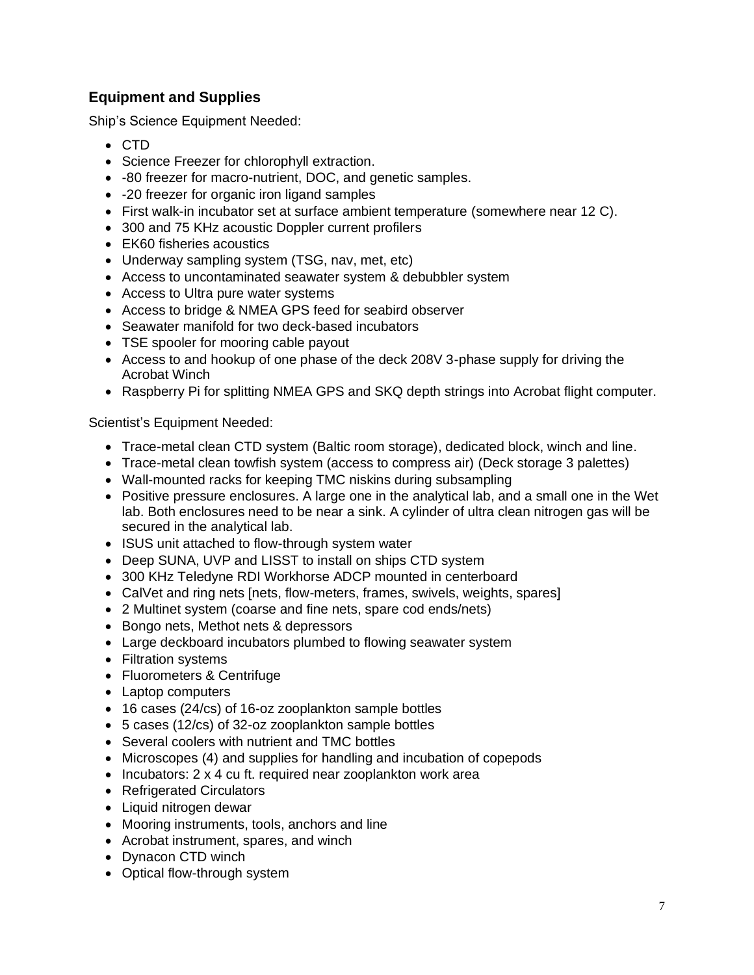# **Equipment and Supplies**

Ship's Science Equipment Needed:

- CTD
- Science Freezer for chlorophyll extraction.
- -80 freezer for macro-nutrient, DOC, and genetic samples.
- -20 freezer for organic iron ligand samples
- First walk-in incubator set at surface ambient temperature (somewhere near 12 C).
- 300 and 75 KHz acoustic Doppler current profilers
- EK60 fisheries acoustics
- Underway sampling system (TSG, nav, met, etc)
- Access to uncontaminated seawater system & debubbler system
- Access to Ultra pure water systems
- Access to bridge & NMEA GPS feed for seabird observer
- Seawater manifold for two deck-based incubators
- TSE spooler for mooring cable payout
- Access to and hookup of one phase of the deck 208V 3-phase supply for driving the Acrobat Winch
- Raspberry Pi for splitting NMEA GPS and SKQ depth strings into Acrobat flight computer.

Scientist's Equipment Needed:

- Trace-metal clean CTD system (Baltic room storage), dedicated block, winch and line.
- Trace-metal clean towfish system (access to compress air) (Deck storage 3 palettes)
- Wall-mounted racks for keeping TMC niskins during subsampling
- Positive pressure enclosures. A large one in the analytical lab, and a small one in the Wet lab. Both enclosures need to be near a sink. A cylinder of ultra clean nitrogen gas will be secured in the analytical lab.
- ISUS unit attached to flow-through system water
- Deep SUNA, UVP and LISST to install on ships CTD system
- 300 KHz Teledyne RDI Workhorse ADCP mounted in centerboard
- CalVet and ring nets [nets, flow-meters, frames, swivels, weights, spares]
- 2 Multinet system (coarse and fine nets, spare cod ends/nets)
- Bongo nets, Methot nets & depressors
- Large deckboard incubators plumbed to flowing seawater system
- Filtration systems
- Fluorometers & Centrifuge
- Laptop computers
- 16 cases (24/cs) of 16-oz zooplankton sample bottles
- 5 cases (12/cs) of 32-oz zooplankton sample bottles
- Several coolers with nutrient and TMC bottles
- Microscopes (4) and supplies for handling and incubation of copepods
- Incubators: 2 x 4 cu ft. required near zooplankton work area
- Refrigerated Circulators
- Liquid nitrogen dewar
- Mooring instruments, tools, anchors and line
- Acrobat instrument, spares, and winch
- Dynacon CTD winch
- Optical flow-through system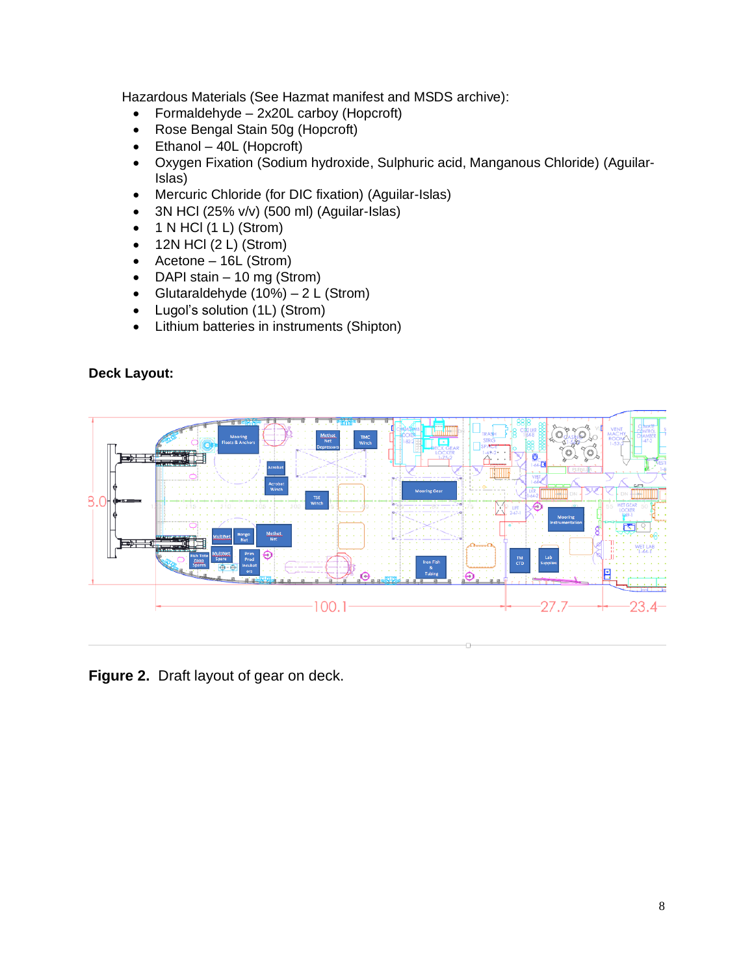Hazardous Materials (See Hazmat manifest and MSDS archive):

- Formaldehyde 2x20L carboy (Hopcroft)
- Rose Bengal Stain 50g (Hopcroft)
- $\bullet$  Ethanol 40L (Hopcroft)
- Oxygen Fixation (Sodium hydroxide, Sulphuric acid, Manganous Chloride) (Aguilar-Islas)
- Mercuric Chloride (for DIC fixation) (Aguilar-Islas)
- 3N HCl  $(25\% \text{ v/v})$   $(500 \text{ ml})$   $(Aquilar\text{-}Islas)$
- $\bullet$  1 N HCl (1 L) (Strom)
- $\bullet$  12N HCl (2 L) (Strom)
- Acetone 16L (Strom)
- DAPI stain 10 mg (Strom)
- Glutaraldehyde  $(10\%) 2 L$  (Strom)
- Lugol's solution (1L) (Strom)
- Lithium batteries in instruments (Shipton)

#### **Deck Layout:**



**Figure 2.** Draft layout of gear on deck.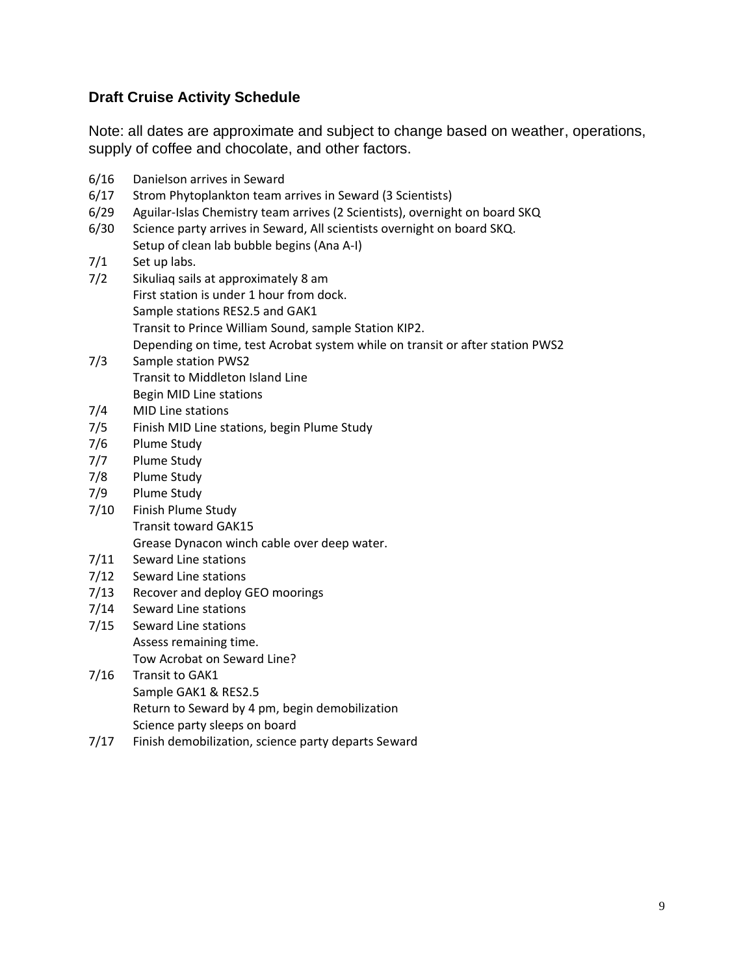# **Draft Cruise Activity Schedule**

Note: all dates are approximate and subject to change based on weather, operations, supply of coffee and chocolate, and other factors.

- 6/16 Danielson arrives in Seward
- 6/17 Strom Phytoplankton team arrives in Seward (3 Scientists)
- 6/29 Aguilar-Islas Chemistry team arrives (2 Scientists), overnight on board SKQ
- 6/30 Science party arrives in Seward, All scientists overnight on board SKQ. Setup of clean lab bubble begins (Ana A-I)
- 7/1 Set up labs.
- 7/2 Sikuliaq sails at approximately 8 am First station is under 1 hour from dock. Sample stations RES2.5 and GAK1 Transit to Prince William Sound, sample Station KIP2. Depending on time, test Acrobat system while on transit or after station PWS2
- 7/3 Sample station PWS2 Transit to Middleton Island Line Begin MID Line stations
- 7/4 MID Line stations
- 7/5 Finish MID Line stations, begin Plume Study
- 7/6 Plume Study
- 7/7 Plume Study
- 7/8 Plume Study
- 7/9 Plume Study
- 7/10 Finish Plume Study Transit toward GAK15 Grease Dynacon winch cable over deep water.
- 7/11 Seward Line stations
- 7/12 Seward Line stations
- 7/13 Recover and deploy GEO moorings
- 7/14 Seward Line stations
- 7/15 Seward Line stations Assess remaining time. Tow Acrobat on Seward Line?
- 7/16 Transit to GAK1 Sample GAK1 & RES2.5 Return to Seward by 4 pm, begin demobilization Science party sleeps on board
- 7/17 Finish demobilization, science party departs Seward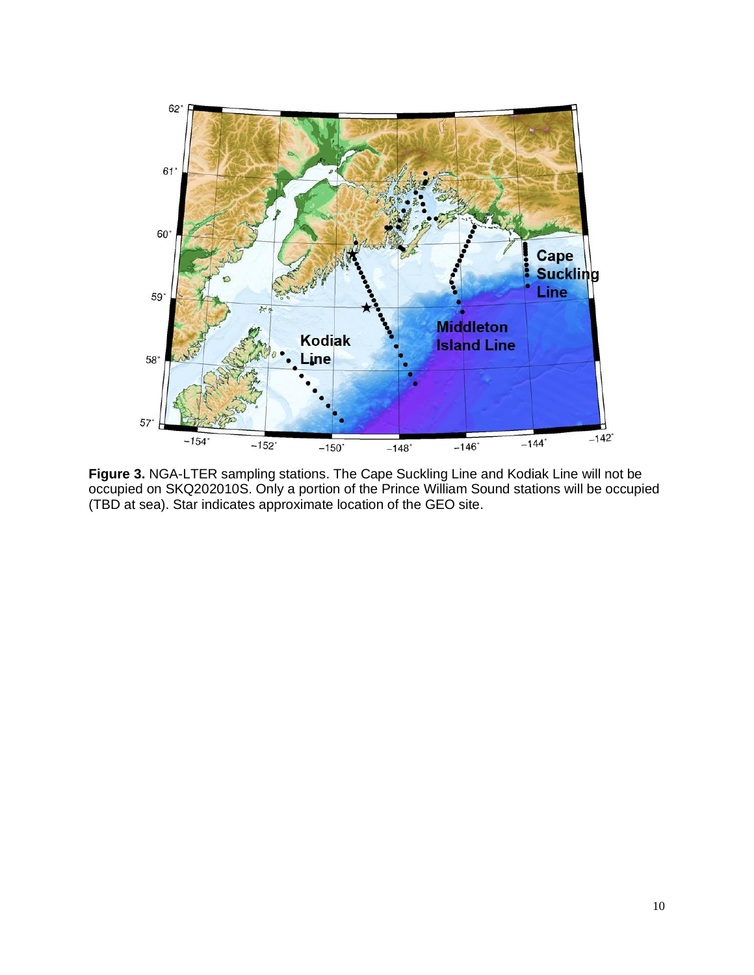

**Figure 3.** NGA-LTER sampling stations. The Cape Suckling Line and Kodiak Line will not be occupied on SKQ202010S. Only a portion of the Prince William Sound stations will be occupied (TBD at sea). Star indicates approximate location of the GEO site.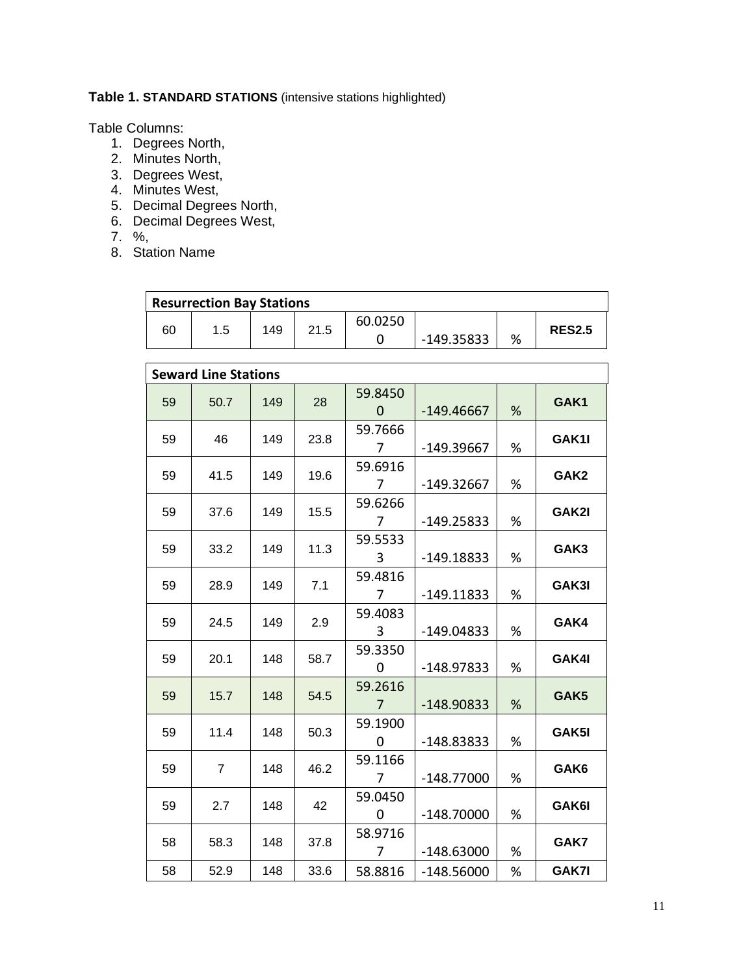**Table 1. STANDARD STATIONS** (intensive stations highlighted)

Table Columns:

- 1. Degrees North,
- 2. Minutes North,
- 3. Degrees West,
- 4. Minutes West,
- 5. Decimal Degrees North,
- 6. Decimal Degrees West,
- 7. %,
- 8. Station Name

| <b>Resurrection Bay Stations</b> |     |     |      |         |            |   |               |  |  |  |  |
|----------------------------------|-----|-----|------|---------|------------|---|---------------|--|--|--|--|
| 60                               | 1.5 | 149 | 21.5 | 60.0250 |            |   | <b>RES2.5</b> |  |  |  |  |
|                                  |     |     |      |         | -149.35833 | % |               |  |  |  |  |

| <b>Seward Line Stations</b> |                |     |      |                           |              |   |                  |  |  |  |
|-----------------------------|----------------|-----|------|---------------------------|--------------|---|------------------|--|--|--|
| 59                          | 50.7           | 149 | 28   | 59.8450<br>$\Omega$       | $-149.46667$ | % | GAK1             |  |  |  |
| 59                          | 46             | 149 | 23.8 | 59.7666<br>7              | -149.39667   | % | GAK1I            |  |  |  |
| 59                          | 41.5           | 149 | 19.6 | 59.6916<br>7              | -149.32667   | % | GAK <sub>2</sub> |  |  |  |
| 59                          | 37.6           | 149 | 15.5 | 59.6266<br>7              | $-149.25833$ | % | GAK2I            |  |  |  |
| 59                          | 33.2           | 149 | 11.3 | 59.5533<br>3              | $-149.18833$ | % | GAK3             |  |  |  |
| 59                          | 28.9           | 149 | 7.1  | 59.4816<br>$\overline{7}$ | $-149.11833$ | % | GAK3I            |  |  |  |
| 59                          | 24.5           | 149 | 2.9  | 59.4083<br>3              | $-149.04833$ | % | GAK4             |  |  |  |
| 59                          | 20.1           | 148 | 58.7 | 59.3350<br>0              | $-148.97833$ | % | GAK4I            |  |  |  |
| 59                          | 15.7           | 148 | 54.5 | 59.2616<br>7              | $-148.90833$ | % | GAK <sub>5</sub> |  |  |  |
| 59                          | 11.4           | 148 | 50.3 | 59.1900<br>0              | -148.83833   | % | GAK5I            |  |  |  |
| 59                          | $\overline{7}$ | 148 | 46.2 | 59.1166<br>$\overline{7}$ | $-148.77000$ | % | GAK6             |  |  |  |
| 59                          | 2.7            | 148 | 42   | 59.0450<br>0              | $-148.70000$ | % | GAK6I            |  |  |  |
| 58                          | 58.3           | 148 | 37.8 | 58.9716<br>7              | $-148.63000$ | % | GAK7             |  |  |  |
| 58                          | 52.9           | 148 | 33.6 | 58.8816                   | $-148.56000$ | % | GAK7I            |  |  |  |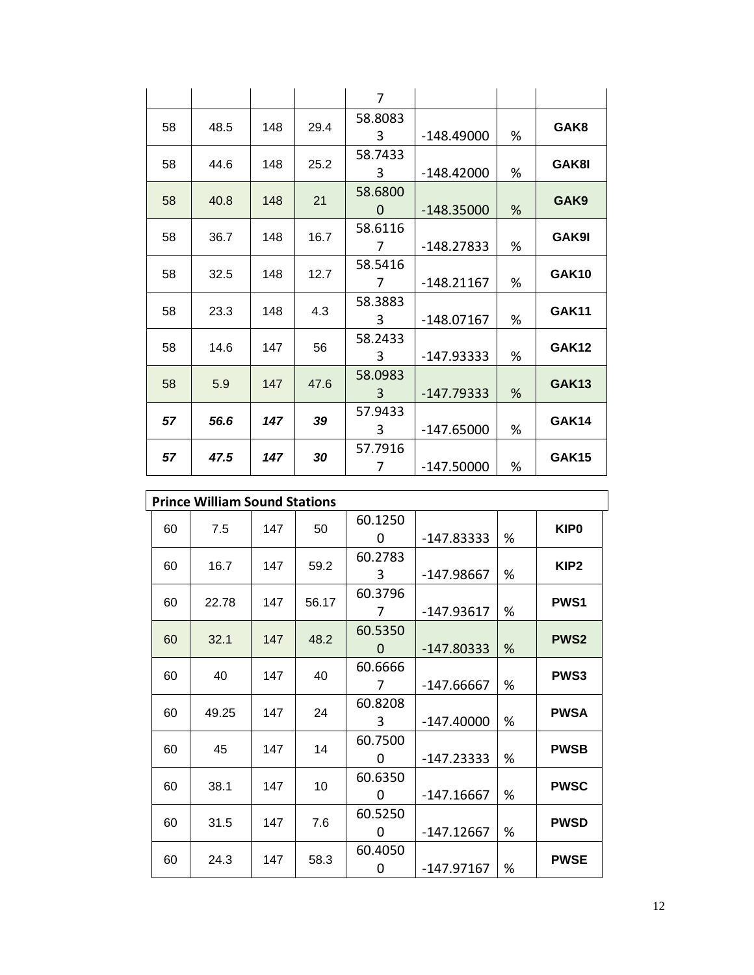|    |      |     |      | $\overline{7}$ |              |   |              |
|----|------|-----|------|----------------|--------------|---|--------------|
| 58 | 48.5 | 148 | 29.4 | 58.8083        |              |   | GAK8         |
|    |      |     |      | 3              | $-148.49000$ | % |              |
| 58 | 44.6 | 148 | 25.2 | 58.7433        |              |   | GAK8I        |
|    |      |     |      | 3              | $-148.42000$ | % |              |
| 58 | 40.8 | 148 | 21   | 58.6800        |              |   | GAK9         |
|    |      |     |      | 0              | $-148.35000$ | % |              |
| 58 | 36.7 | 148 | 16.7 | 58.6116        |              |   | GAK9I        |
|    |      |     |      | 7              | $-148.27833$ | % |              |
| 58 | 32.5 | 148 | 12.7 | 58.5416        |              |   | <b>GAK10</b> |
|    |      |     |      | 7              | $-148.21167$ | % |              |
| 58 | 23.3 | 148 | 4.3  | 58.3883        |              |   | <b>GAK11</b> |
|    |      |     |      | 3              | $-148.07167$ | % |              |
| 58 | 14.6 | 147 | 56   | 58.2433        |              |   | <b>GAK12</b> |
|    |      |     |      | 3              | -147.93333   | % |              |
| 58 | 5.9  | 147 | 47.6 | 58.0983        |              |   | <b>GAK13</b> |
|    |      |     |      | 3              | $-147.79333$ | % |              |
| 57 | 56.6 | 147 | 39   | 57.9433        |              |   | <b>GAK14</b> |
|    |      |     |      | 3              | $-147.65000$ | % |              |
| 57 | 47.5 | 147 | 30   | 57.7916        |              |   | <b>GAK15</b> |
|    |      |     |      | 7              | $-147.50000$ | % |              |

|    | <b>Prince William Sound Stations</b> |     |       |          |              |   |                  |  |  |  |  |  |
|----|--------------------------------------|-----|-------|----------|--------------|---|------------------|--|--|--|--|--|
| 60 | 7.5                                  | 147 | 50    | 60.1250  |              |   | <b>KIP0</b>      |  |  |  |  |  |
|    |                                      |     |       | 0        | $-147.83333$ | % |                  |  |  |  |  |  |
| 60 | 16.7                                 | 147 | 59.2  | 60.2783  |              |   | KIP <sub>2</sub> |  |  |  |  |  |
|    |                                      |     |       | 3        | -147.98667   | % |                  |  |  |  |  |  |
| 60 | 22.78                                | 147 | 56.17 | 60.3796  |              |   | <b>PWS1</b>      |  |  |  |  |  |
|    |                                      |     |       | 7        | $-147.93617$ | % |                  |  |  |  |  |  |
| 60 | 32.1                                 | 147 | 48.2  | 60.5350  |              |   | <b>PWS2</b>      |  |  |  |  |  |
|    |                                      |     |       | $\Omega$ | $-147.80333$ | % |                  |  |  |  |  |  |
| 60 | 40                                   | 147 | 40    | 60.6666  |              |   | <b>PWS3</b>      |  |  |  |  |  |
|    |                                      |     |       | 7        | $-147.66667$ | % |                  |  |  |  |  |  |
| 60 | 49.25                                | 147 | 24    | 60.8208  |              |   | <b>PWSA</b>      |  |  |  |  |  |
|    |                                      |     |       | 3        | $-147.40000$ | % |                  |  |  |  |  |  |
| 60 | 45                                   | 147 | 14    | 60.7500  |              |   | <b>PWSB</b>      |  |  |  |  |  |
|    |                                      |     |       | 0        | $-147.23333$ | % |                  |  |  |  |  |  |
| 60 | 38.1                                 | 147 | 10    | 60.6350  |              |   | <b>PWSC</b>      |  |  |  |  |  |
|    |                                      |     |       | 0        | $-147.16667$ | % |                  |  |  |  |  |  |
| 60 | 31.5                                 | 147 | 7.6   | 60.5250  |              |   | <b>PWSD</b>      |  |  |  |  |  |
|    |                                      |     |       | 0        | -147.12667   | % |                  |  |  |  |  |  |
| 60 | 24.3                                 | 147 | 58.3  | 60.4050  |              |   | <b>PWSE</b>      |  |  |  |  |  |
|    |                                      |     |       | 0        | -147.97167   | % |                  |  |  |  |  |  |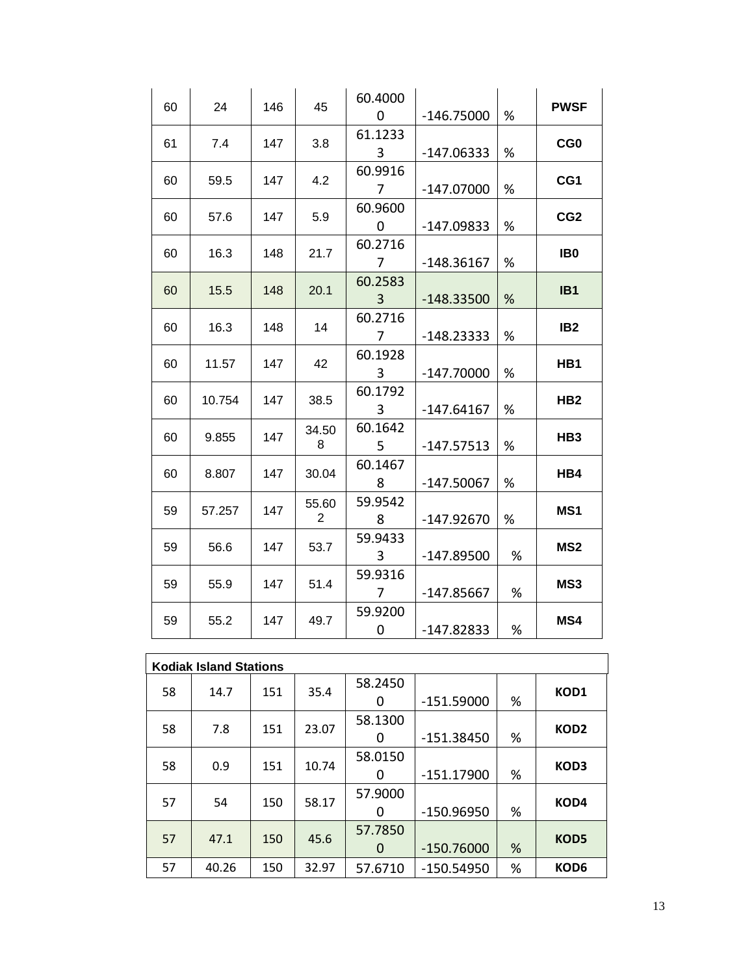| 60 | 24     | 146 | 45         | 60.4000<br>$\Omega$       | $-146.75000$ | %    | <b>PWSF</b>     |
|----|--------|-----|------------|---------------------------|--------------|------|-----------------|
| 61 | 7.4    | 147 | 3.8        | 61.1233<br>3              | $-147.06333$ | %    | CG <sub>0</sub> |
| 60 | 59.5   | 147 | 4.2        | 60.9916<br>7              | $-147.07000$ | $\%$ | CG1             |
| 60 | 57.6   | 147 | 5.9        | 60.9600<br>0              | $-147.09833$ | %    | CG <sub>2</sub> |
| 60 | 16.3   | 148 | 21.7       | 60.2716<br>$\overline{7}$ | $-148.36167$ | $\%$ | IB <sub>0</sub> |
| 60 | 15.5   | 148 | 20.1       | 60.2583<br>$\overline{3}$ | $-148.33500$ | %    | IB <sub>1</sub> |
| 60 | 16.3   | 148 | 14         | 60.2716<br>7              | $-148.23333$ | %    | IB <sub>2</sub> |
| 60 | 11.57  | 147 | 42         | 60.1928<br>3              | $-147.70000$ | %    | HB1             |
| 60 | 10.754 | 147 | 38.5       | 60.1792<br>3              | $-147.64167$ | %    | HB <sub>2</sub> |
| 60 | 9.855  | 147 | 34.50<br>8 | 60.1642<br>5              | $-147.57513$ | %    | HB <sub>3</sub> |
| 60 | 8.807  | 147 | 30.04      | 60.1467<br>8              | $-147.50067$ | %    | HB4             |
| 59 | 57.257 | 147 | 55.60<br>2 | 59.9542<br>8              | $-147.92670$ | %    | MS1             |
| 59 | 56.6   | 147 | 53.7       | 59.9433<br>3              | $-147.89500$ | %    | MS <sub>2</sub> |
| 59 | 55.9   | 147 | 51.4       | 59.9316<br>$7^{\circ}$    | $-147.85667$ | %    | MS3             |
| 59 | 55.2   | 147 | 49.7       | 59.9200<br>0              | $-147.82833$ | %    | MS4             |

|    | <b>Kodiak Island Stations</b> |     |       |         |              |   |                  |  |  |  |  |
|----|-------------------------------|-----|-------|---------|--------------|---|------------------|--|--|--|--|
| 58 | 14.7                          | 151 | 35.4  | 58.2450 |              |   | KOD1             |  |  |  |  |
|    |                               |     |       | 0       | -151.59000   | % |                  |  |  |  |  |
| 58 | 7.8                           | 151 | 23.07 | 58.1300 |              |   | KOD <sub>2</sub> |  |  |  |  |
|    |                               |     |       | 0       | $-151.38450$ | % |                  |  |  |  |  |
|    |                               | 151 | 10.74 | 58.0150 |              |   |                  |  |  |  |  |
| 58 | 0.9                           |     |       | 0       | $-151.17900$ | % | KOD3             |  |  |  |  |
|    |                               |     |       | 57.9000 |              |   |                  |  |  |  |  |
| 57 | 54                            | 150 | 58.17 | 0       | -150.96950   | % | KOD4             |  |  |  |  |
| 57 | 47.1                          | 150 | 45.6  | 57.7850 |              |   | KOD5             |  |  |  |  |
|    |                               |     |       | 0       | $-150.76000$ | % |                  |  |  |  |  |
| 57 | 40.26                         | 150 | 32.97 | 57.6710 | -150.54950   | % | KOD6             |  |  |  |  |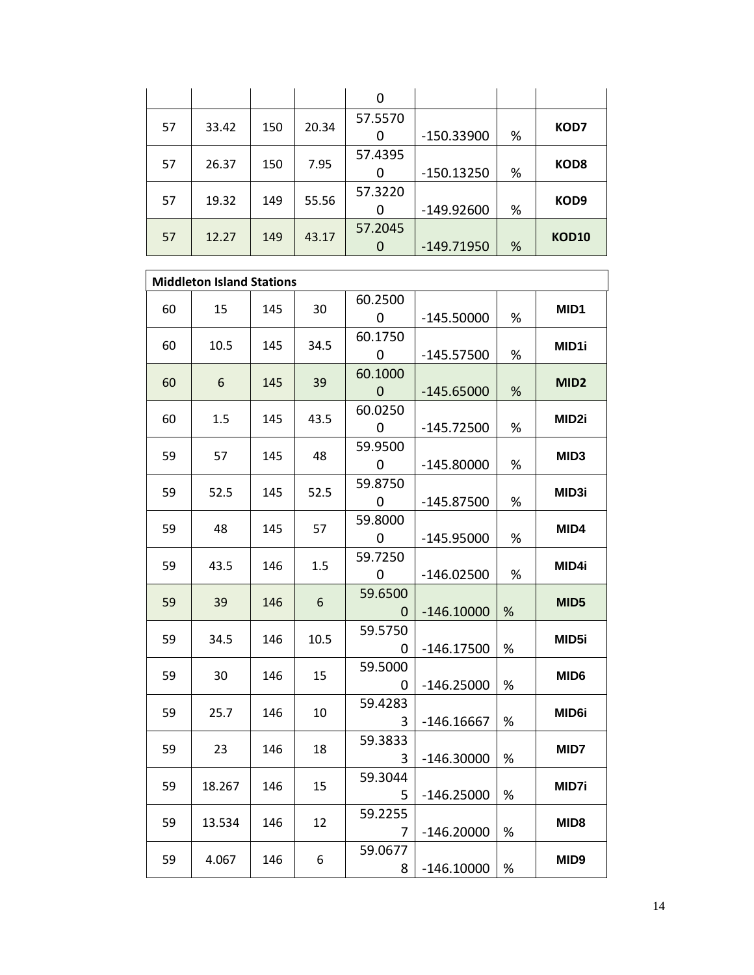|    |       |     |       | 0       |              |   |                  |
|----|-------|-----|-------|---------|--------------|---|------------------|
| 57 | 33.42 | 150 | 20.34 | 57.5570 |              |   | KOD7             |
|    |       |     |       | 0       | -150.33900   | % |                  |
| 57 | 26.37 | 150 | 7.95  | 57.4395 |              |   | KOD <sub>8</sub> |
|    |       |     |       | 0       | $-150.13250$ | % |                  |
|    |       |     |       | 57.3220 |              |   |                  |
| 57 | 19.32 | 149 | 55.56 | 0       | $-149.92600$ | % | KOD <sub>9</sub> |
| 57 | 12.27 | 149 | 43.17 | 57.2045 |              |   | <b>KOD10</b>     |
|    |       |     |       | 0       | $-149.71950$ | % |                  |

| <b>Middleton Island Stations</b> |   |              |                        |      |     |        |    |  |  |  |
|----------------------------------|---|--------------|------------------------|------|-----|--------|----|--|--|--|
| MID1                             | % | $-145.50000$ | 60.2500<br>0           | 30   | 145 | 15     | 60 |  |  |  |
| MID1i                            | % | $-145.57500$ | 60.1750<br>0           | 34.5 | 145 | 10.5   | 60 |  |  |  |
| MID <sub>2</sub>                 | % | $-145.65000$ | 60.1000<br>$\mathbf 0$ | 39   | 145 | 6      | 60 |  |  |  |
| MID <sub>2i</sub>                | % | $-145.72500$ | 60.0250<br>0           | 43.5 | 145 | 1.5    | 60 |  |  |  |
| <b>MID3</b>                      | % | $-145.80000$ | 59.9500<br>0           | 48   | 145 | 57     | 59 |  |  |  |
| MID3i                            | % | $-145.87500$ | 59.8750<br>0           | 52.5 | 145 | 52.5   | 59 |  |  |  |
| MID4                             | % | $-145.95000$ | 59.8000<br>$\mathbf 0$ | 57   | 145 | 48     | 59 |  |  |  |
| MID4i                            | % | $-146.02500$ | 59.7250<br>0           | 1.5  | 146 | 43.5   | 59 |  |  |  |
| MID <sub>5</sub>                 | % | $-146.10000$ | 59.6500<br>0           | 6    | 146 | 39     | 59 |  |  |  |
| MID <sub>5i</sub>                | % | $-146.17500$ | 59.5750<br>0           | 10.5 | 146 | 34.5   | 59 |  |  |  |
| MID <sub>6</sub>                 | % | $-146.25000$ | 59.5000<br>0           | 15   | 146 | 30     | 59 |  |  |  |
| MID6i                            | % | $-146.16667$ | 59.4283<br>3           | 10   | 146 | 25.7   | 59 |  |  |  |
| MID7                             | % | $-146.30000$ | 59.3833<br>3           | 18   | 146 | 23     | 59 |  |  |  |
| MID7i                            | % | $-146.25000$ | 59.3044<br>5.          | 15   | 146 | 18.267 | 59 |  |  |  |
| MID <sub>8</sub>                 | % | $-146.20000$ | 59.2255<br>7           | 12   | 146 | 13.534 | 59 |  |  |  |
| MID <sub>9</sub>                 | % | $-146.10000$ | 59.0677<br>8           | 6    | 146 | 4.067  | 59 |  |  |  |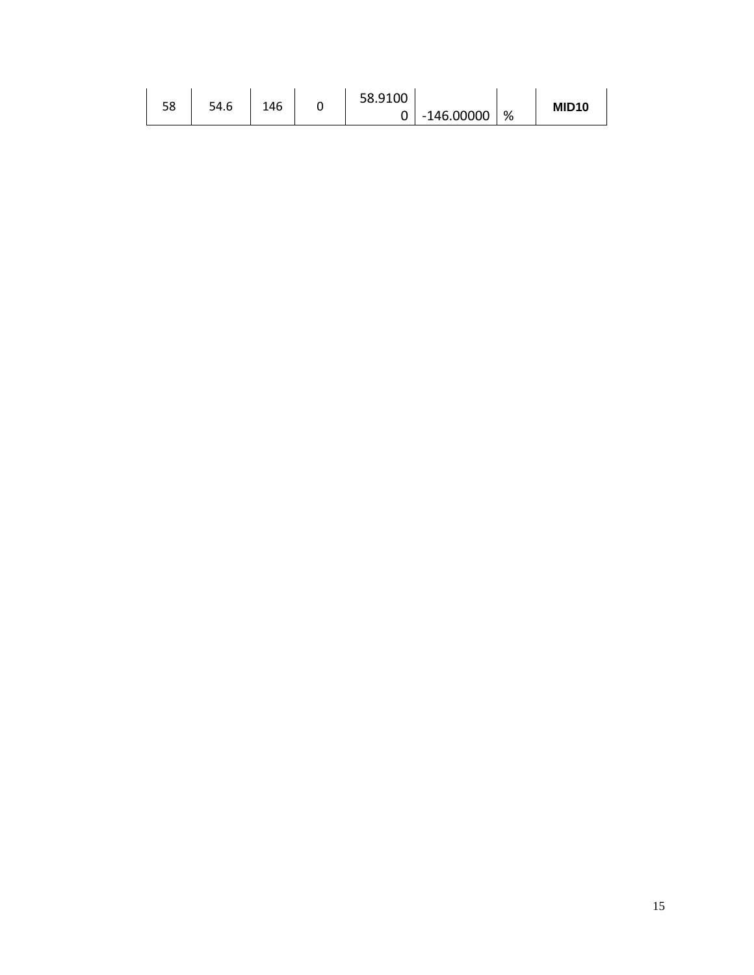|    |      |     | 58.9100 |              |   |                   |
|----|------|-----|---------|--------------|---|-------------------|
| 58 | 54.6 | 146 |         | $-146.00000$ | % | MID <sub>10</sub> |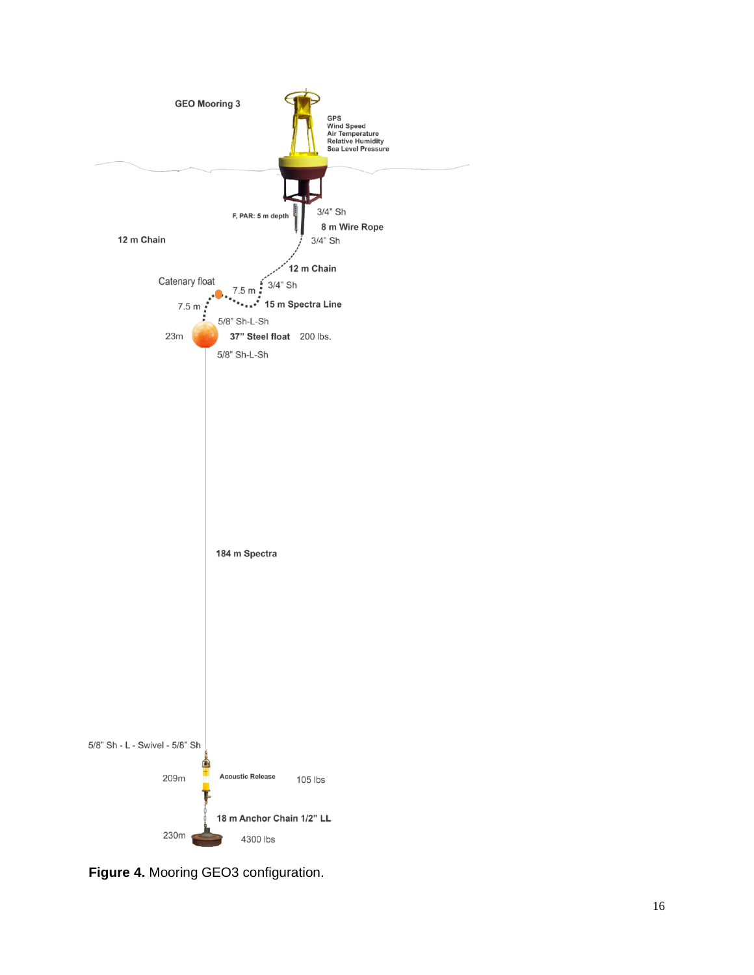

**Figure 4 .** Mooring GEO3 configuration.